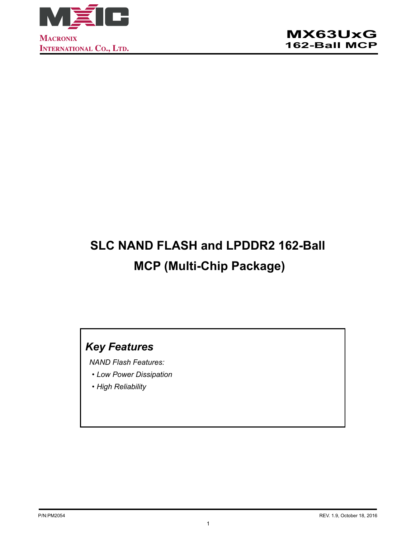

# **SLC NAND FLASH and LPDDR2 162-Ball MCP (Multi-Chip Package)**

## *Key Features*

*NAND Flash Features:* 

- *• Low Power Dissipation*
- *• High Reliability*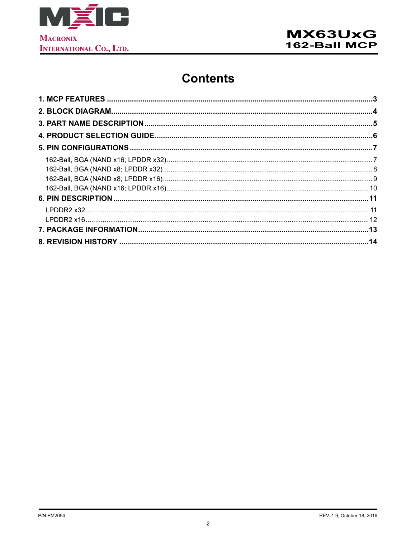

## **Contents**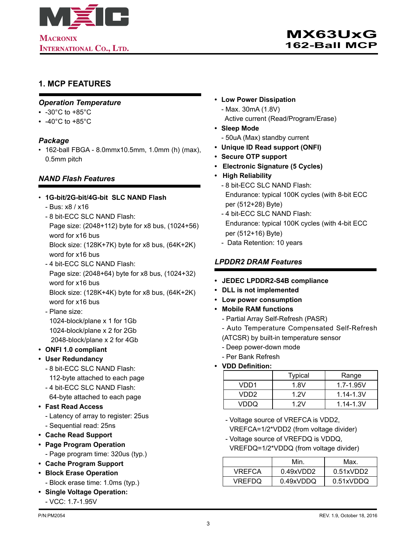<span id="page-2-0"></span>

### **1. MCP FEATURES**

#### *Operation Temperature*

- -30°C to +85°C
- $\cdot$  -40°C to +85°C

#### *Package*

• 162-ball FBGA - 8.0mmx10.5mm, 1.0mm (h) (max), 0.5mm pitch

#### *NAND Flash Features*

#### • **1G-bit/2G-bit/4G-bit SLC NAND Flash**

- Bus: x8 / x16
- 8 bit-ECC SLC NAND Flash: Page size: (2048+112) byte for x8 bus, (1024+56) word for x16 bus

Block size: (128K+7K) byte for x8 bus, (64K+2K) word for x16 bus

- 4 bit-ECC SLC NAND Flash: Page size: (2048+64) byte for x8 bus, (1024+32) word for x16 bus Block size: (128K+4K) byte for x8 bus, (64K+2K)
- word for x16 bus - Plane size: 1024-block/plane x 1 for 1Gb 1024-block/plane x 2 for 2Gb 2048-block/plane x 2 for 4Gb
- **• ONFI 1.0 compliant**
- **• User Redundancy**
	- 8 bit-ECC SLC NAND Flash: 112-byte attached to each page
	- 4 bit-ECC SLC NAND Flash: 64-byte attached to each page
- **• Fast Read Access**
	- Latency of array to register: 25us - Sequential read: 25ns
- **• Cache Read Support**
- **• Page Program Operation**
	- Page program time: 320us (typ.)
- **• Cache Program Support**
- **• Block Erase Operation** - Block erase time: 1.0ms (typ.)
- **• Single Voltage Operation:**
- VCC: 1.7-1.95V
- **• Low Power Dissipation**
	- Max. 30mA (1.8V) Active current (Read/Program/Erase)
- **• Sleep Mode**
	- 50uA (Max) standby current
- **• Unique ID Read support (ONFI)**
- **• Secure OTP support**
- **Electronic Signature (5 Cycles)**
- **High Reliability**
	- 8 bit-ECC SLC NAND Flash: Endurance: typical 100K cycles (with 8-bit ECC per (512+28) Byte)
	- 4 bit-ECC SLC NAND Flash: Endurance: typical 100K cycles (with 4-bit ECC per (512+16) Byte)
	- Data Retention: 10 years

#### *LPDDR2 DRAM Features*

- **• JEDEC LPDDR2-S4B compliance**
- **• DLL is not implemented**
- **• Low power consumption**
- **• Mobile RAM functions**
	- Partial Array Self-Refresh (PASR)
	- Auto Temperature Compensated Self-Refresh
	- (ATCSR) by built-in temperature sensor
	- Deep power-down mode
	- Per Bank Refresh
- **• VDD Definition:**

|       | <b>Typical</b> | Range         |
|-------|----------------|---------------|
| VDD1  | 1.8V           | $1.7 - 1.95V$ |
| VDD2. | 1 2 V          | $1.14 - 1.3V$ |
| VDDO  | 1 2 V          | $1.14 - 1.3V$ |

- Voltage source of VREFCA is VDD2, VREFCA=1/2\*VDD2 (from voltage divider)
- Voltage source of VREFDQ is VDDQ,
- VREFDQ=1/2\*VDDQ (from voltage divider)

|        | Min       | Max.      |
|--------|-----------|-----------|
| VREFCA | 0.49xVDD2 | 0.51xVDD2 |
| VREFDQ | 0.49xVDDQ | 0.51xVDDQ |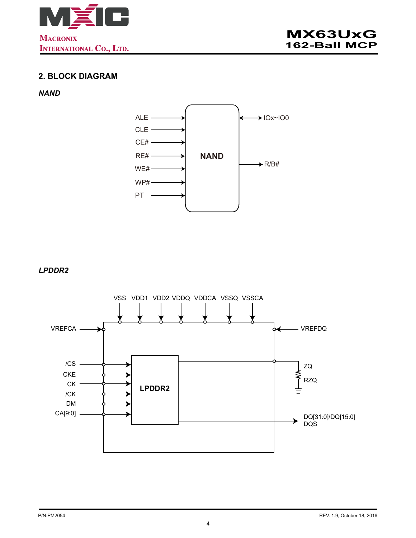<span id="page-3-0"></span>

## **2. BLOCK DIAGRAM**

#### *NAND*



*LPDDR2*

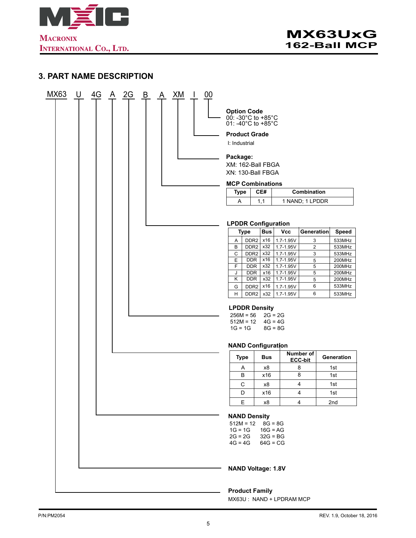<span id="page-4-0"></span>

## **3. PART NAME DESCRIPTION**

| MX63 | $\bigcup$ | 4G | $\frac{A}{2}$ 2G | $\overline{B}$ | $\Delta$ | <u>XM</u> |  | 00 |                                                                 |             |                                      |            |                                     |                      |  |                  |
|------|-----------|----|------------------|----------------|----------|-----------|--|----|-----------------------------------------------------------------|-------------|--------------------------------------|------------|-------------------------------------|----------------------|--|------------------|
|      |           |    |                  |                |          |           |  |    | <b>Option Code</b><br>00: -30°C to +85°C<br>01: -40°C to +85°C  |             |                                      |            |                                     |                      |  |                  |
|      |           |    |                  |                |          |           |  |    | <b>Product Grade</b><br>I: Industrial                           |             |                                      |            |                                     |                      |  |                  |
|      |           |    |                  |                |          |           |  |    | Package:                                                        |             |                                      |            |                                     |                      |  |                  |
|      |           |    |                  |                |          |           |  |    | XM: 162-Ball FBGA<br>XN: 130-Ball FBGA                          |             |                                      |            |                                     |                      |  |                  |
|      |           |    |                  |                |          |           |  |    | <b>MCP Combinations</b>                                         |             |                                      |            |                                     |                      |  |                  |
|      |           |    |                  |                |          |           |  |    | <b>Type</b>                                                     |             |                                      | CE#        |                                     | Combination          |  |                  |
|      |           |    |                  |                |          |           |  |    | A                                                               |             | 1,1                                  |            |                                     | 1 NAND; 1 LPDDR      |  |                  |
|      |           |    |                  |                |          |           |  |    | <b>LPDDR Configuration</b>                                      |             |                                      |            |                                     |                      |  |                  |
|      |           |    |                  |                |          |           |  |    |                                                                 | <b>Type</b> |                                      | <b>Bus</b> | <b>Vcc</b>                          | Generation           |  | Speed            |
|      |           |    |                  |                |          |           |  |    | Α                                                               |             | DDR <sub>2</sub>                     | x16        | 1.7-1.95V                           | 3                    |  | 533MHz           |
|      |           |    |                  |                |          |           |  |    | B                                                               |             | DDR <sub>2</sub><br>DDR <sub>2</sub> | x32        | x32 1.7-1.95V                       | $\overline{2}$       |  | 533MHz<br>533MHz |
|      |           |    |                  |                |          |           |  |    | C<br>Ε                                                          | <b>DDR</b>  |                                      | x16        | $1.7 - 1.95V$<br>1.7-1.95V          | 3<br>5               |  | 200MHz           |
|      |           |    |                  |                |          |           |  |    | F                                                               | <b>DDR</b>  |                                      | x32        | 1.7-1.95V                           | 5                    |  | 200MHz           |
|      |           |    |                  |                |          |           |  |    | J                                                               | <b>DDR</b>  |                                      | x16        | 1.7-1.95V                           | 5                    |  | 200MHz           |
|      |           |    |                  |                |          |           |  |    | Κ                                                               | <b>DDR</b>  |                                      | x32        | $1.7 - 1.95V$                       | 5<br>6               |  | 200MHz<br>533MHz |
|      |           |    |                  |                |          |           |  |    | G<br>н                                                          |             | DDR <sub>2</sub><br>DDR <sub>2</sub> | x16<br>x32 | 1.7-1.95V<br>1.7-1.95V              | 6                    |  | 533MHz           |
|      |           |    |                  |                |          |           |  |    | <b>LPDDR Density</b><br>$256M = 56$<br>$512M = 12$<br>$1G = 1G$ |             |                                      |            | $2G = 2G$<br>$4G = 4G$<br>$8G = 8G$ |                      |  |                  |
|      |           |    |                  |                |          |           |  |    |                                                                 |             |                                      |            | <b>NAND Configuration</b>           |                      |  |                  |
|      |           |    |                  |                |          |           |  |    |                                                                 | <b>Type</b> |                                      | <b>Bus</b> |                                     | Number of<br>ECC-bit |  | Generation       |
|      |           |    |                  |                |          |           |  |    |                                                                 | A           |                                      | х8         |                                     | 8                    |  | 1st              |
|      |           |    |                  |                |          |           |  |    |                                                                 | B           |                                      | x16        |                                     | 8                    |  | 1st              |
|      |           |    |                  |                |          |           |  |    |                                                                 | С           |                                      | x8         |                                     | 4                    |  | 1st              |
|      |           |    |                  |                |          |           |  |    |                                                                 | D           |                                      | x16        |                                     | 4                    |  | 1st              |
|      |           |    |                  |                |          |           |  |    |                                                                 | Е           |                                      | x8         |                                     | 4                    |  | 2nd              |
|      |           |    |                  |                |          |           |  |    | <b>NAND Density</b><br>$512M = 12$                              |             |                                      | $8G = 8G$  |                                     |                      |  |                  |
|      |           |    |                  |                |          |           |  |    | $1G = 1G$<br>$2G = 2G$<br>$4G = 4G$                             |             |                                      | $16G = AG$ | $32G = BG$<br>$64G = CG$            |                      |  |                  |
|      |           |    |                  |                |          |           |  |    | <b>NAND Voltage: 1.8V</b>                                       |             |                                      |            |                                     |                      |  |                  |
|      |           |    |                  |                |          |           |  |    | <b>Product Family</b>                                           |             |                                      |            |                                     |                      |  |                  |

MX63U : NAND + LPDRAM MCP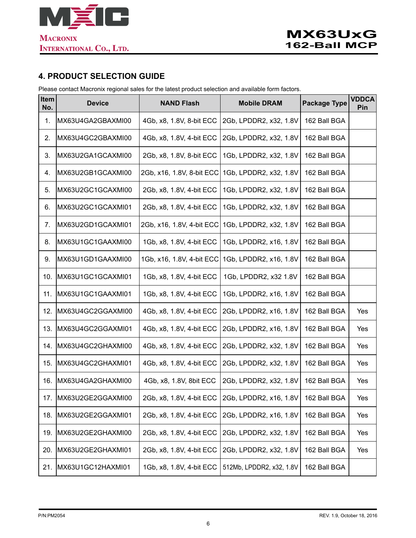<span id="page-5-0"></span>

## **4. PRODUCT SELECTION GUIDE**

Please contact Macronix regional sales for the latest product selection and available form factors.

| Item<br>No. | <b>Device</b>         | <b>NAND Flash</b>         | <b>Mobile DRAM</b>                                               | <b>Package Type</b> | <b>VDDCA</b><br>Pin |
|-------------|-----------------------|---------------------------|------------------------------------------------------------------|---------------------|---------------------|
| 1.          | MX63U4GA2GBAXMI00     | 4Gb, x8, 1.8V, 8-bit ECC  | 2Gb, LPDDR2, x32, 1.8V                                           | 162 Ball BGA        |                     |
| 2.          | MX63U4GC2GBAXMI00     | 4Gb, x8, 1.8V, 4-bit ECC  | 2Gb, LPDDR2, x32, 1.8V                                           | 162 Ball BGA        |                     |
| 3.          | MX63U2GA1GCAXMI00     | 2Gb, x8, 1.8V, 8-bit ECC  | 1Gb, LPDDR2, x32, 1.8V                                           | 162 Ball BGA        |                     |
| 4.          | MX63U2GB1GCAXMI00     | 2Gb, x16, 1.8V, 8-bit ECC | 1Gb, LPDDR2, x32, 1.8V                                           | 162 Ball BGA        |                     |
| 5.          | MX63U2GC1GCAXMI00     | 2Gb, x8, 1.8V, 4-bit ECC  | 1Gb, LPDDR2, x32, 1.8V                                           | 162 Ball BGA        |                     |
| 6.          | MX63U2GC1GCAXMI01     | 2Gb, x8, 1.8V, 4-bit ECC  | 1Gb, LPDDR2, x32, 1.8V                                           | 162 Ball BGA        |                     |
| 7.          | MX63U2GD1GCAXMI01     | 2Gb, x16, 1.8V, 4-bit ECC | 1Gb, LPDDR2, x32, 1.8V                                           | 162 Ball BGA        |                     |
| 8.          | MX63U1GC1GAAXMI00     | 1Gb, x8, 1.8V, 4-bit ECC  | 1Gb, LPDDR2, x16, 1.8V                                           | 162 Ball BGA        |                     |
| 9.          | MX63U1GD1GAAXMI00     | 1Gb, x16, 1.8V, 4-bit ECC | 1Gb, LPDDR2, x16, 1.8V                                           | 162 Ball BGA        |                     |
| 10.         | MX63U1GC1GCAXMI01     | 1Gb, x8, 1.8V, 4-bit ECC  | 1Gb, LPDDR2, x32 1.8V                                            | 162 Ball BGA        |                     |
| 11.         | MX63U1GC1GAAXMI01     | 1Gb, x8, 1.8V, 4-bit ECC  | 1Gb, LPDDR2, x16, 1.8V                                           | 162 Ball BGA        |                     |
| 12.         | MX63U4GC2GGAXMI00     | 4Gb, x8, 1.8V, 4-bit ECC  | 2Gb, LPDDR2, x16, 1.8V                                           | 162 Ball BGA        | Yes                 |
| 13.         | MX63U4GC2GGAXMI01     | 4Gb, x8, 1.8V, 4-bit ECC  | 2Gb, LPDDR2, x16, 1.8V                                           | 162 Ball BGA        | Yes                 |
| 14.         | MX63U4GC2GHAXMI00     | 4Gb, x8, 1.8V, 4-bit ECC  | 2Gb, LPDDR2, x32, 1.8V                                           | 162 Ball BGA        | Yes                 |
| 15.         | MX63U4GC2GHAXMI01     | 4Gb, x8, 1.8V, 4-bit ECC  | 2Gb, LPDDR2, x32, 1.8V                                           | 162 Ball BGA        | Yes                 |
| 16.         | MX63U4GA2GHAXMI00     | 4Gb, x8, 1.8V, 8bit ECC   | 2Gb, LPDDR2, x32, 1.8V                                           | 162 Ball BGA        | Yes                 |
|             | 17. MX63U2GE2GGAXMI00 |                           | 2Gb, x8, 1.8V, 4-bit ECC   2Gb, LPDDR2, x16, 1.8V   162 Ball BGA |                     | Yes                 |
| 18.         | MX63U2GE2GGAXMI01     | 2Gb, x8, 1.8V, 4-bit ECC  | 2Gb, LPDDR2, x16, 1.8V                                           | 162 Ball BGA        | Yes                 |
| 19.         | MX63U2GE2GHAXMI00     | 2Gb, x8, 1.8V, 4-bit ECC  | 2Gb, LPDDR2, x32, 1.8V                                           | 162 Ball BGA        | Yes                 |
| 20.         | MX63U2GE2GHAXMI01     | 2Gb, x8, 1.8V, 4-bit ECC  | 2Gb, LPDDR2, x32, 1.8V                                           | 162 Ball BGA        | Yes                 |
| 21.         | MX63U1GC12HAXMI01     | 1Gb, x8, 1.8V, 4-bit ECC  | 512Mb, LPDDR2, x32, 1.8V                                         | 162 Ball BGA        |                     |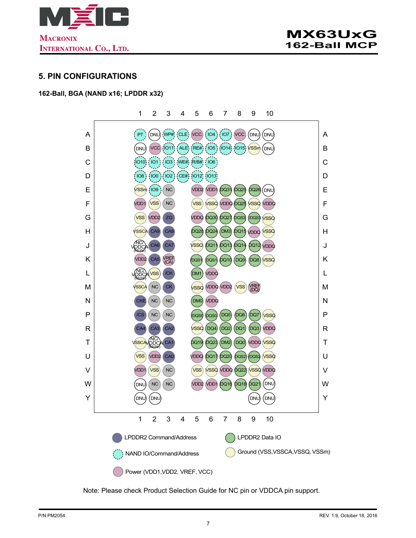<span id="page-6-0"></span>

#### **5. PIN CONFIGURATIONS**

#### **162-Ball, BGA (NAND x16; LPDDR x32)**

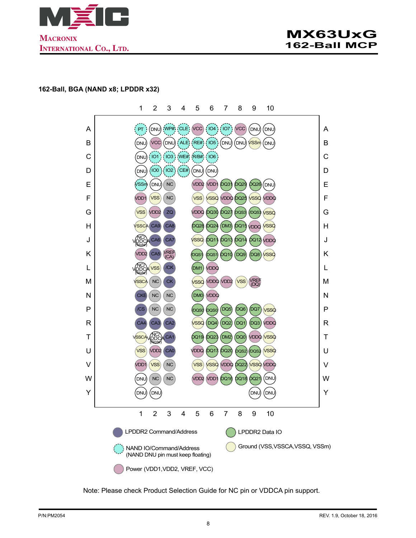<span id="page-7-0"></span>



#### **162-Ball, BGA (NAND x8; LPDDR x32)**

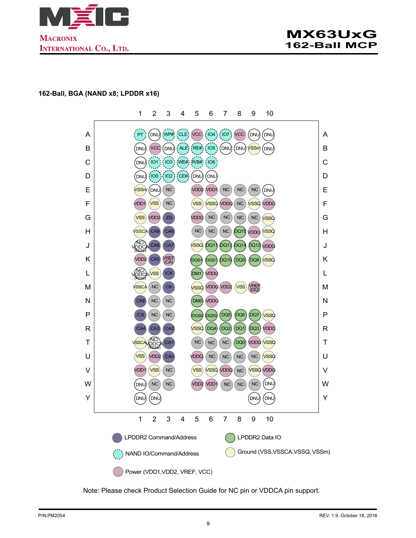<span id="page-8-0"></span>

#### **162-Ball, BGA (NAND x8; LPDDR x16)**

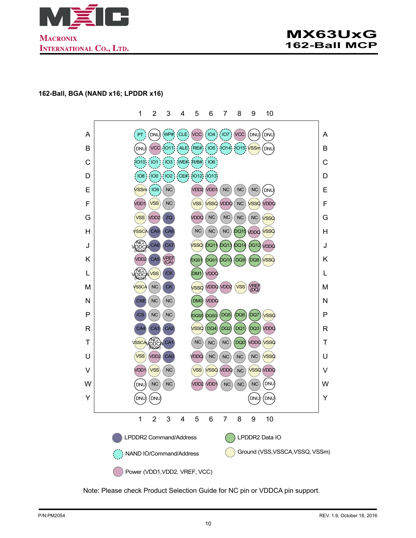<span id="page-9-0"></span>

#### **162-Ball, BGA (NAND x16; LPDDR x16)**

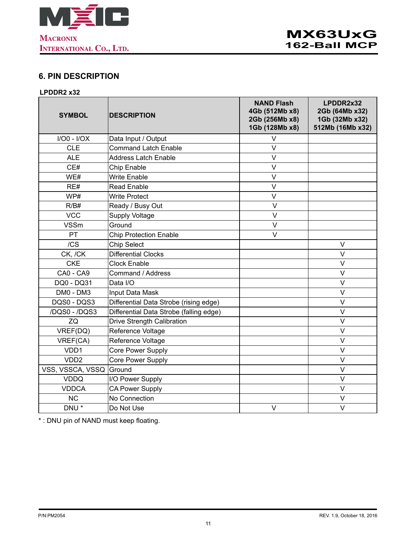<span id="page-10-0"></span>

## **6. PIN DESCRIPTION**

#### **LPDDR2 x32**

| <b>SYMBOL</b>     | <b>DESCRIPTION</b>                      | <b>NAND Flash</b><br>4Gb (512Mb x8)<br>2Gb (256Mb x8)<br>1Gb (128Mb x8) | LPDDR2x32<br>2Gb (64Mb x32)<br>1Gb (32Mb x32)<br>512Mb (16Mb x32) |
|-------------------|-----------------------------------------|-------------------------------------------------------------------------|-------------------------------------------------------------------|
| $I/O0 - I/OX$     | Data Input / Output                     | $\vee$                                                                  |                                                                   |
| <b>CLE</b>        | <b>Command Latch Enable</b>             | $\vee$                                                                  |                                                                   |
| <b>ALE</b>        | <b>Address Latch Enable</b>             | $\mathsf{V}$                                                            |                                                                   |
| CE#               | Chip Enable                             | $\vee$                                                                  |                                                                   |
| WE#               | <b>Write Enable</b>                     | $\vee$                                                                  |                                                                   |
| RE#               | <b>Read Enable</b>                      | $\vee$                                                                  |                                                                   |
| WP#               | <b>Write Protect</b>                    | $\vee$                                                                  |                                                                   |
| R/B#              | Ready / Busy Out                        | $\vee$                                                                  |                                                                   |
| <b>VCC</b>        | <b>Supply Voltage</b>                   | $\vee$                                                                  |                                                                   |
| <b>VSSm</b>       | Ground                                  | $\overline{\mathsf{V}}$                                                 |                                                                   |
| PT                | <b>Chip Protection Enable</b>           | $\vee$                                                                  |                                                                   |
| /CS               | <b>Chip Select</b>                      |                                                                         | $\vee$                                                            |
| CK, /CK           | <b>Differential Clocks</b>              |                                                                         | $\vee$                                                            |
| <b>CKE</b>        | <b>Clock Enable</b>                     |                                                                         | V                                                                 |
| CA0 - CA9         | Command / Address                       |                                                                         | $\vee$                                                            |
| DQ0 - DQ31        | Data I/O                                |                                                                         | $\vee$                                                            |
| DM0 - DM3         | Input Data Mask                         |                                                                         | $\vee$                                                            |
| DQS0 - DQS3       | Differential Data Strobe (rising edge)  |                                                                         | $\vee$                                                            |
| /DQS0 - /DQS3     | Differential Data Strobe (falling edge) |                                                                         | $\vee$                                                            |
| ZQ                | Drive Strength Calibration              |                                                                         | $\vee$                                                            |
| VREF(DQ)          | Reference Voltage                       |                                                                         | $\vee$                                                            |
| VREF(CA)          | Reference Voltage                       |                                                                         | $\vee$                                                            |
| VD <sub>D</sub> 1 | Core Power Supply                       |                                                                         | $\vee$                                                            |
| VDD <sub>2</sub>  | Core Power Supply                       |                                                                         | $\vee$                                                            |
| VSS, VSSCA, VSSQ  | Ground                                  |                                                                         | V                                                                 |
| <b>VDDQ</b>       | I/O Power Supply                        |                                                                         | $\vee$                                                            |
| <b>VDDCA</b>      | <b>CA Power Supply</b>                  |                                                                         | $\vee$                                                            |
| <b>NC</b>         | No Connection                           |                                                                         | V                                                                 |
| DNU <sup>*</sup>  | Do Not Use                              | $\vee$                                                                  | $\vee$                                                            |

\* : DNU pin of NAND must keep floating.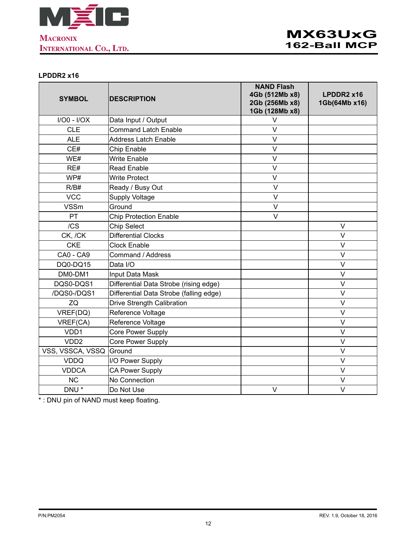<span id="page-11-0"></span>

#### **LPDDR2 x16**

| <b>SYMBOL</b>    | <b>DESCRIPTION</b>                      | <b>NAND Flash</b><br>4Gb (512Mb x8)<br>2Gb (256Mb x8)<br>1Gb (128Mb x8) | LPDDR2 x16<br>1Gb(64Mb x16) |
|------------------|-----------------------------------------|-------------------------------------------------------------------------|-----------------------------|
| $I/O0 - I/OX$    | Data Input / Output                     | V                                                                       |                             |
| <b>CLE</b>       | <b>Command Latch Enable</b>             | $\vee$                                                                  |                             |
| <b>ALE</b>       | <b>Address Latch Enable</b>             | V                                                                       |                             |
| CE#              | Chip Enable                             | $\vee$                                                                  |                             |
| WE#              | <b>Write Enable</b>                     | $\vee$                                                                  |                             |
| RE#              | <b>Read Enable</b>                      | $\vee$                                                                  |                             |
| WP#              | <b>Write Protect</b>                    | V                                                                       |                             |
| R/B#             | Ready / Busy Out                        | V                                                                       |                             |
| <b>VCC</b>       | <b>Supply Voltage</b>                   | $\vee$                                                                  |                             |
| <b>VSSm</b>      | Ground                                  | $\vee$                                                                  |                             |
| PT               | <b>Chip Protection Enable</b>           | $\vee$                                                                  |                             |
| /CS              | <b>Chip Select</b>                      |                                                                         | V                           |
| CK, /CK          | <b>Differential Clocks</b>              |                                                                         | $\vee$                      |
| <b>CKE</b>       | <b>Clock Enable</b>                     |                                                                         | $\overline{V}$              |
| CA0 - CA9        | Command / Address                       |                                                                         | V                           |
| DQ0-DQ15         | Data I/O                                |                                                                         | $\vee$                      |
| DM0-DM1          | Input Data Mask                         |                                                                         | V                           |
| DQS0-DQS1        | Differential Data Strobe (rising edge)  |                                                                         | V                           |
| /DQS0-/DQS1      | Differential Data Strobe (falling edge) |                                                                         | $\vee$                      |
| ZQ               | Drive Strength Calibration              |                                                                         | $\vee$                      |
| VREF(DQ)         | Reference Voltage                       |                                                                         | $\vee$                      |
| VREF(CA)         | Reference Voltage                       |                                                                         | $\vee$                      |
| VDD1             | Core Power Supply                       |                                                                         | $\vee$                      |
| VDD <sub>2</sub> | Core Power Supply                       |                                                                         | $\vee$                      |
| VSS, VSSCA, VSSQ | Ground                                  |                                                                         | V                           |
| <b>VDDQ</b>      | I/O Power Supply                        |                                                                         | $\vee$                      |
| <b>VDDCA</b>     | <b>CA Power Supply</b>                  |                                                                         | $\vee$                      |
| <b>NC</b>        | No Connection                           |                                                                         | $\vee$                      |
| DNU <sup>*</sup> | Do Not Use                              | V                                                                       | $\vee$                      |

\* : DNU pin of NAND must keep floating.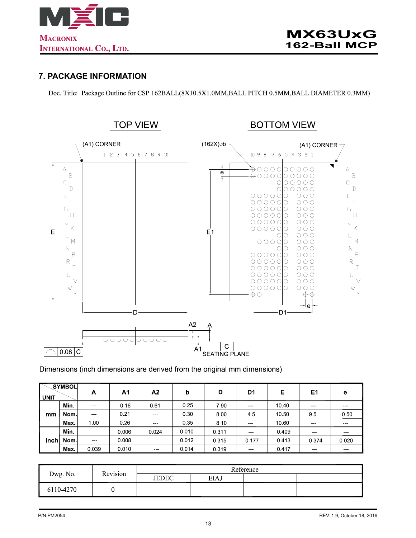<span id="page-12-0"></span>

#### **7. PACKAGE INFORMATION**

Doc. Title: Package Outline for CSP 162BALL(8X10.5X1.0MM,BALL PITCH 0.5MM,BALL DIAMETER 0.3MM)



#### Dimensions (inch dimensions are derived from the original mm dimensions)

| <b>UNIT</b> | SYMBOL | A       | A1    | Α2                                                                                                                        | b     | D     | D1                | Е     | E1                                                                                                                        | е                                                                                                                         |
|-------------|--------|---------|-------|---------------------------------------------------------------------------------------------------------------------------|-------|-------|-------------------|-------|---------------------------------------------------------------------------------------------------------------------------|---------------------------------------------------------------------------------------------------------------------------|
|             | Min.   | $-$     | 0.16  | 0.61                                                                                                                      | 0.25  | 7.90  | $\sim$ $\sim$     | 10.40 | $- - -$                                                                                                                   | $\frac{1}{2} \left( \frac{1}{2} \right) \left( \frac{1}{2} \right) \left( \frac{1}{2} \right) \left( \frac{1}{2} \right)$ |
| mm          | Nom l  | $-$     | 0.21  | $\sim$ $\sim$                                                                                                             | 0.30  | 8.00  | 45                | 10.50 | 95                                                                                                                        | 0.50                                                                                                                      |
|             | Max.   | 1.00    | 0.26  | $\sim$ $\sim$                                                                                                             | 0.35  | 8.10  | $\sim$ $\sim$     | 10.60 | $\sim$ $\sim$                                                                                                             | $\frac{1}{2} \left( \frac{1}{2} \right) \left( \frac{1}{2} \right) \left( \frac{1}{2} \right) \left( \frac{1}{2} \right)$ |
|             | Min.   | $- - -$ | 0.006 | 0 0 2 4                                                                                                                   | 0.010 | 0.311 | $-$               | 0.409 | $\frac{1}{2} \left( \frac{1}{2} \right) \left( \frac{1}{2} \right) \left( \frac{1}{2} \right) \left( \frac{1}{2} \right)$ | $- - -$                                                                                                                   |
| Inch        | Nom l  | $- - -$ | 0.008 | $\frac{1}{2} \left( \frac{1}{2} \right) \left( \frac{1}{2} \right) \left( \frac{1}{2} \right) \left( \frac{1}{2} \right)$ | 0.012 | 0.315 | 0.177             | 0.413 | 0.374                                                                                                                     | 0.020                                                                                                                     |
|             | Max.   | 0.039   | 0.010 | <b>STATISTICS</b>                                                                                                         | 0.014 | 0.319 | <b>CONTRACTOR</b> | 0417  | <b>CONTRACTOR</b>                                                                                                         | ---                                                                                                                       |

| Dwg. No.  | Revision | Reference    |             |  |  |  |  |
|-----------|----------|--------------|-------------|--|--|--|--|
|           |          | <b>JEDEC</b> | <b>EIAJ</b> |  |  |  |  |
| 6110-4270 |          |              |             |  |  |  |  |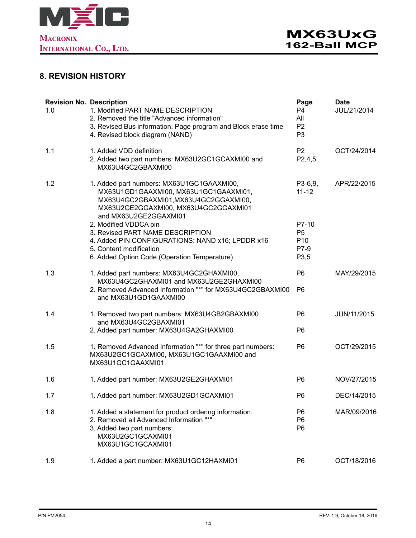<span id="page-13-0"></span>

## **8. REVISION HISTORY**

| <b>Revision No. Description</b><br>1.0 | 1. Modified PART NAME DESCRIPTION<br>2. Removed the title "Advanced information"<br>3. Revised Bus information, Page program and Block erase time<br>4. Revised block diagram (NAND)        | Page<br>P <sub>4</sub><br>All<br>P <sub>2</sub><br>P <sub>3</sub> | <b>Date</b><br>JUL/21/2014 |
|----------------------------------------|---------------------------------------------------------------------------------------------------------------------------------------------------------------------------------------------|-------------------------------------------------------------------|----------------------------|
| 1.1                                    | 1. Added VDD definition<br>2. Added two part numbers: MX63U2GC1GCAXMI00 and<br>MX63U4GC2GBAXMI00                                                                                            | P <sub>2</sub><br>P2,4,5                                          | OCT/24/2014                |
| 1.2                                    | 1. Added part numbers: MX63U1GC1GAAXMI00,<br>MX63U1GD1GAAXMI00, MX63U1GC1GAAXMI01,<br>MX63U4GC2GBAXMI01,MX63U4GC2GGAXMI00,<br>MX63U2GE2GGAXMI00, MX63U4GC2GGAXMI01<br>and MX63U2GE2GGAXMI01 | $P3-6,9,$<br>$11 - 12$                                            | APR/22/2015                |
|                                        | 2. Modified VDDCA pin<br>3. Revised PART NAME DESCRIPTION<br>4. Added PIN CONFIGURATIONS: NAND x16; LPDDR x16<br>5. Content modification<br>6. Added Option Code (Operation Temperature)    | P7-10<br>P <sub>5</sub><br>P <sub>10</sub><br>P7-9<br>P3,5        |                            |
| 1.3                                    | 1. Added part numbers: MX63U4GC2GHAXMI00,<br>MX63U4GC2GHAXMI01 and MX63U2GE2GHAXMI00<br>2. Removed Advanced Information "*" for MX63U4GC2GBAXMI00<br>and MX63U1GD1GAAXMI00                  | P <sub>6</sub><br>P <sub>6</sub>                                  | MAY/29/2015                |
| 1.4                                    | 1. Removed two part numbers: MX63U4GB2GBAXMI00<br>and MX63U4GC2GBAXMI01<br>2. Added part number: MX63U4GA2GHAXMI00                                                                          | P <sub>6</sub><br>P <sub>6</sub>                                  | JUN/11/2015                |
| 1.5                                    | 1. Removed Advanced Information "*" for three part numbers:<br>MX63U2GC1GCAXMI00, MX63U1GC1GAAXMI00 and<br>MX63U1GC1GAAXMI01                                                                | P <sub>6</sub>                                                    | OCT/29/2015                |
| 1.6                                    | 1. Added part number: MX63U2GE2GHAXMI01                                                                                                                                                     | P <sub>6</sub>                                                    | NOV/27/2015                |
| 1.7                                    | 1. Added part number: MX63U2GD1GCAXMI01                                                                                                                                                     | P <sub>6</sub>                                                    | DEC/14/2015                |
| 1.8                                    | 1. Added a statement for product ordering information.<br>2. Removed all Advanced Information "*"<br>3. Added two part numbers:<br>MX63U2GC1GCAXMI01<br>MX63U1GC1GCAXMI01                   | P6<br>P <sub>6</sub><br>P <sub>6</sub>                            | MAR/09/2016                |
| 1.9                                    | 1. Added a part number: MX63U1GC12HAXMI01                                                                                                                                                   | P <sub>6</sub>                                                    | OCT/18/2016                |